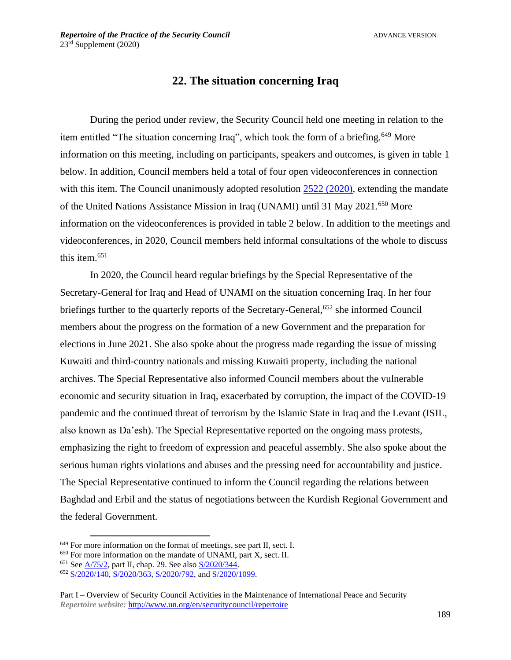## **22. The situation concerning Iraq**

During the period under review, the Security Council held one meeting in relation to the item entitled "The situation concerning Iraq", which took the form of a briefing.<sup>649</sup> More information on this meeting, including on participants, speakers and outcomes, is given in table 1 below. In addition, Council members held a total of four open videoconferences in connection with this item. The Council unanimously adopted resolution [2522 \(2020\),](https://undocs.org/en/S/RES/2522(2020)) extending the mandate of the United Nations Assistance Mission in Iraq (UNAMI) until 31 May 2021.<sup>650</sup> More information on the videoconferences is provided in table 2 below. In addition to the meetings and videoconferences, in 2020, Council members held informal consultations of the whole to discuss this item. 651

In 2020, the Council heard regular briefings by the Special Representative of the Secretary-General for Iraq and Head of UNAMI on the situation concerning Iraq. In her four briefings further to the quarterly reports of the Secretary-General,<sup>652</sup> she informed Council members about the progress on the formation of a new Government and the preparation for elections in June 2021. She also spoke about the progress made regarding the issue of missing Kuwaiti and third-country nationals and missing Kuwaiti property, including the national archives. The Special Representative also informed Council members about the vulnerable economic and security situation in Iraq, exacerbated by corruption, the impact of the COVID-19 pandemic and the continued threat of terrorism by the Islamic State in Iraq and the Levant (ISIL, also known as Da'esh). The Special Representative reported on the ongoing mass protests, emphasizing the right to freedom of expression and peaceful assembly. She also spoke about the serious human rights violations and abuses and the pressing need for accountability and justice. The Special Representative continued to inform the Council regarding the relations between Baghdad and Erbil and the status of negotiations between the Kurdish Regional Government and the federal Government.

<sup>&</sup>lt;sup>649</sup> For more information on the format of meetings, see part II, sect. I.

 $650$  For more information on the mandate of UNAMI, part X, sect. II.

<sup>651</sup> See [A/75/2,](https://undocs.org/A/75/2) part II, chap. 29. See also [S/2020/344.](https://undocs.org/en/S/2020/344)

<sup>652</sup> [S/2020/140,](https://undocs.org/en/S/2020/140) [S/2020/363,](https://undocs.org/S/2020/363) [S/2020/792,](https://undocs.org/S/2020/792) and [S/2020/1099.](https://undocs.org/S/2020/1099)

Part I – Overview of Security Council Activities in the Maintenance of International Peace and Security *Repertoire website:* <http://www.un.org/en/securitycouncil/repertoire>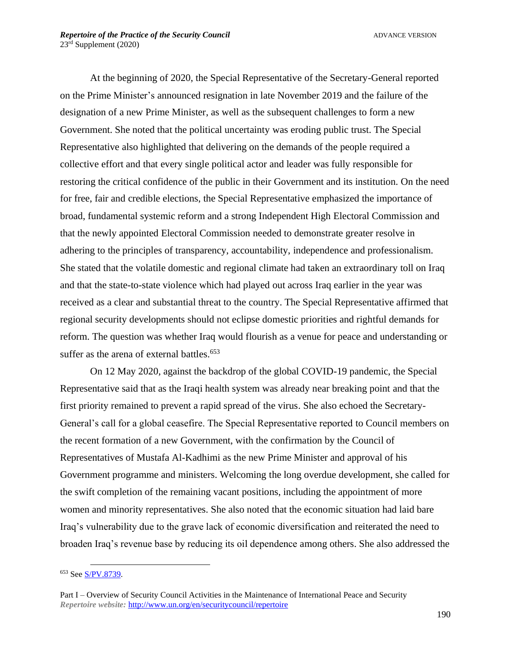At the beginning of 2020, the Special Representative of the Secretary-General reported on the Prime Minister's announced resignation in late November 2019 and the failure of the designation of a new Prime Minister, as well as the subsequent challenges to form a new Government. She noted that the political uncertainty was eroding public trust. The Special Representative also highlighted that delivering on the demands of the people required a collective effort and that every single political actor and leader was fully responsible for restoring the critical confidence of the public in their Government and its institution. On the need for free, fair and credible elections, the Special Representative emphasized the importance of broad, fundamental systemic reform and a strong Independent High Electoral Commission and that the newly appointed Electoral Commission needed to demonstrate greater resolve in adhering to the principles of transparency, accountability, independence and professionalism. She stated that the volatile domestic and regional climate had taken an extraordinary toll on Iraq and that the state-to-state violence which had played out across Iraq earlier in the year was received as a clear and substantial threat to the country. The Special Representative affirmed that regional security developments should not eclipse domestic priorities and rightful demands for reform. The question was whether Iraq would flourish as a venue for peace and understanding or suffer as the arena of external battles. 653

On 12 May 2020, against the backdrop of the global COVID-19 pandemic, the Special Representative said that as the Iraqi health system was already near breaking point and that the first priority remained to prevent a rapid spread of the virus. She also echoed the Secretary-General's call for a global ceasefire. The Special Representative reported to Council members on the recent formation of a new Government, with the confirmation by the Council of Representatives of Mustafa Al-Kadhimi as the new Prime Minister and approval of his Government programme and ministers. Welcoming the long overdue development, she called for the swift completion of the remaining vacant positions, including the appointment of more women and minority representatives. She also noted that the economic situation had laid bare Iraq's vulnerability due to the grave lack of economic diversification and reiterated the need to broaden Iraq's revenue base by reducing its oil dependence among others. She also addressed the

<sup>653</sup> See [S/PV.8739.](https://undocs.org/en/S/PV.8739)

Part I – Overview of Security Council Activities in the Maintenance of International Peace and Security *Repertoire website:* <http://www.un.org/en/securitycouncil/repertoire>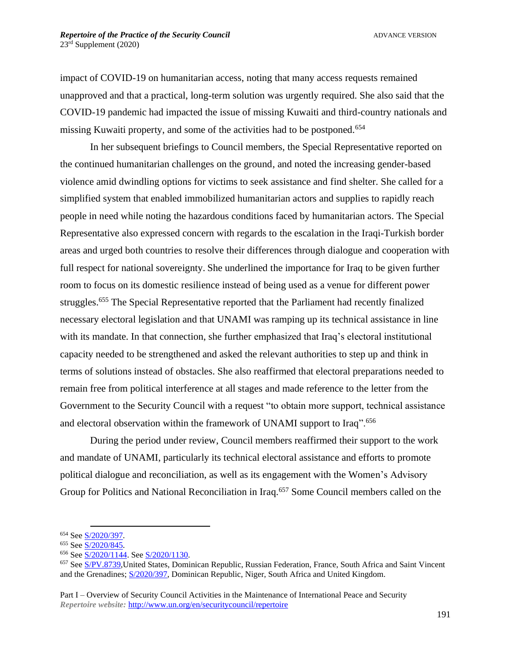impact of COVID-19 on humanitarian access, noting that many access requests remained unapproved and that a practical, long-term solution was urgently required. She also said that the COVID-19 pandemic had impacted the issue of missing Kuwaiti and third-country nationals and missing Kuwaiti property, and some of the activities had to be postponed.<sup>654</sup>

In her subsequent briefings to Council members, the Special Representative reported on the continued humanitarian challenges on the ground, and noted the increasing gender-based violence amid dwindling options for victims to seek assistance and find shelter. She called for a simplified system that enabled immobilized humanitarian actors and supplies to rapidly reach people in need while noting the hazardous conditions faced by humanitarian actors. The Special Representative also expressed concern with regards to the escalation in the Iraqi-Turkish border areas and urged both countries to resolve their differences through dialogue and cooperation with full respect for national sovereignty. She underlined the importance for Iraq to be given further room to focus on its domestic resilience instead of being used as a venue for different power struggles.<sup>655</sup> The Special Representative reported that the Parliament had recently finalized necessary electoral legislation and that UNAMI was ramping up its technical assistance in line with its mandate. In that connection, she further emphasized that Iraq's electoral institutional capacity needed to be strengthened and asked the relevant authorities to step up and think in terms of solutions instead of obstacles. She also reaffirmed that electoral preparations needed to remain free from political interference at all stages and made reference to the letter from the Government to the Security Council with a request "to obtain more support, technical assistance and electoral observation within the framework of UNAMI support to Iraq".<sup>656</sup>

During the period under review, Council members reaffirmed their support to the work and mandate of UNAMI, particularly its technical electoral assistance and efforts to promote political dialogue and reconciliation, as well as its engagement with the Women's Advisory Group for Politics and National Reconciliation in Iraq.<sup>657</sup> Some Council members called on the

Part I – Overview of Security Council Activities in the Maintenance of International Peace and Security *Repertoire website:* <http://www.un.org/en/securitycouncil/repertoire>

<sup>654</sup> See [S/2020/397.](https://undocs.org/S/2020/397) 

<sup>655</sup> See [S/2020/845.](https://undocs.org/en/S/2020/845) 

<sup>656</sup> See [S/2020/1144.](https://undocs.org/en/S/2020/1144) See [S/2020/1130.](https://undocs.org/en/S/2020/1130)

<sup>657</sup> See [S/PV.8739,](https://undocs.org/en/S/PV.8739)United States, Dominican Republic, Russian Federation, France, South Africa and Saint Vincent and the Grenadines; [S/2020/397,](https://undocs.org/S/2020/397) Dominican Republic, Niger, South Africa and United Kingdom.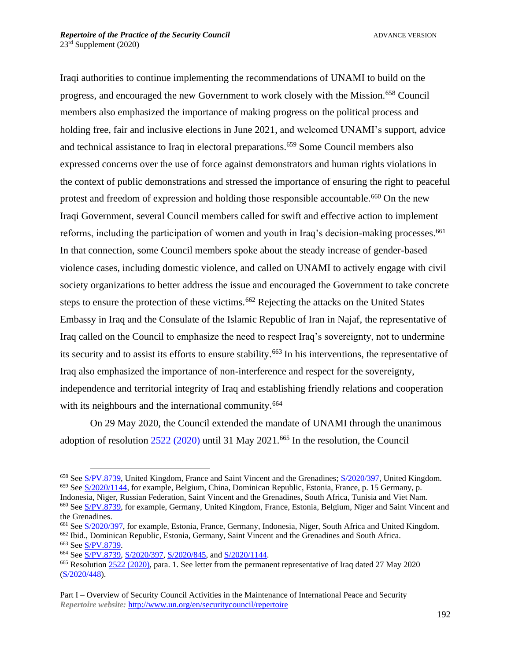Iraqi authorities to continue implementing the recommendations of UNAMI to build on the progress, and encouraged the new Government to work closely with the Mission.<sup>658</sup> Council members also emphasized the importance of making progress on the political process and holding free, fair and inclusive elections in June 2021, and welcomed UNAMI's support, advice and technical assistance to Iraq in electoral preparations. <sup>659</sup> Some Council members also expressed concerns over the use of force against demonstrators and human rights violations in the context of public demonstrations and stressed the importance of ensuring the right to peaceful protest and freedom of expression and holding those responsible accountable.<sup>660</sup> On the new Iraqi Government, several Council members called for swift and effective action to implement reforms, including the participation of women and youth in Iraq's decision-making processes.<sup>661</sup> In that connection, some Council members spoke about the steady increase of gender-based violence cases, including domestic violence, and called on UNAMI to actively engage with civil society organizations to better address the issue and encouraged the Government to take concrete steps to ensure the protection of these victims.<sup>662</sup> Rejecting the attacks on the United States Embassy in Iraq and the Consulate of the Islamic Republic of Iran in Najaf, the representative of Iraq called on the Council to emphasize the need to respect Iraq's sovereignty, not to undermine its security and to assist its efforts to ensure stability.<sup>663</sup> In his interventions, the representative of Iraq also emphasized the importance of non-interference and respect for the sovereignty, independence and territorial integrity of Iraq and establishing friendly relations and cooperation with its neighbours and the international community.<sup>664</sup>

On 29 May 2020, the Council extended the mandate of UNAMI through the unanimous adoption of resolution  $2522 (2020)$  until 31 May  $2021.665$  In the resolution, the Council

<sup>662</sup> Ibid., Dominican Republic, Estonia, Germany, Saint Vincent and the Grenadines and South Africa.

<sup>658</sup> See [S/PV.8739,](https://undocs.org/en/S/PV.8739) United Kingdom, France and Saint Vincent and the Grenadines; [S/2020/397,](https://undocs.org/S/2020/397) United Kingdom. <sup>659</sup> See [S/2020/1144,](https://undocs.org/S/2020/1144) for example, Belgium, China, Dominican Republic, Estonia, France, p. 15 Germany, p. Indonesia, Niger, Russian Federation, Saint Vincent and the Grenadines, South Africa, Tunisia and Viet Nam.

<sup>660</sup> See [S/PV.8739,](https://undocs.org/en/S/PV.8739) for example, Germany, United Kingdom, France, Estonia, Belgium, Niger and Saint Vincent and the Grenadines.

<sup>661</sup> See [S/2020/397,](https://undocs.org/S/2020/397) for example, Estonia, France, Germany, Indonesia, Niger, South Africa and United Kingdom.

<sup>663</sup> See [S/PV.8739.](https://undocs.org/en/S/PV.8739)

<sup>664</sup> See [S/PV.8739,](https://undocs.org/en/S/PV.8739) [S/2020/397,](https://undocs.org/S/2020/397) [S/2020/845,](https://undocs.org/S/2020/845) and [S/2020/1144.](https://undocs.org/S/2020/1144)

<sup>&</sup>lt;sup>665</sup> Resolution [2522 \(2020\),](https://undocs.org/en/S/RES/2522(2020)) para. 1. See letter from the permanent representative of Iraq dated 27 May 2020 [\(S/2020/448\)](https://undocs.org/en/S/2020/448).

Part I – Overview of Security Council Activities in the Maintenance of International Peace and Security *Repertoire website:* <http://www.un.org/en/securitycouncil/repertoire>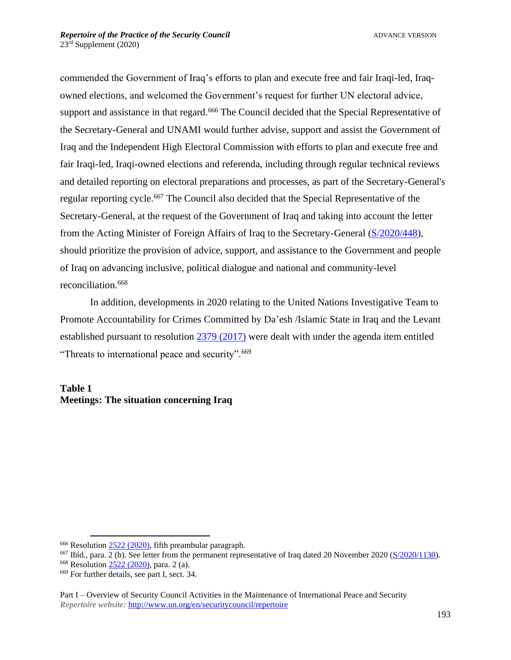commended the Government of Iraq's efforts to plan and execute free and fair Iraqi-led, Iraqowned elections, and welcomed the Government's request for further UN electoral advice, support and assistance in that regard.<sup>666</sup> The Council decided that the Special Representative of the Secretary-General and UNAMI would further advise, support and assist the Government of Iraq and the Independent High Electoral Commission with efforts to plan and execute free and fair Iraqi-led, Iraqi-owned elections and referenda, including through regular technical reviews and detailed reporting on electoral preparations and processes, as part of the Secretary-General's regular reporting cycle. <sup>667</sup> The Council also decided that the Special Representative of the Secretary-General, at the request of the Government of Iraq and taking into account the letter from the Acting Minister of Foreign Affairs of Iraq to the Secretary-General [\(S/2020/448\)](https://undocs.org/S/2020/448), should prioritize the provision of advice, support, and assistance to the Government and people of Iraq on advancing inclusive, political dialogue and national and community-level reconciliation.<sup>668</sup>

In addition, developments in 2020 relating to the United Nations Investigative Team to Promote Accountability for Crimes Committed by Da'esh /Islamic State in Iraq and the Levant established pursuant to resolution [2379 \(2017\)](https://undocs.org/S/RES/2379(2017)) were dealt with under the agenda item entitled "Threats to international peace and security".<sup>669</sup>

## **Table 1 Meetings: The situation concerning Iraq**

<sup>&</sup>lt;sup>666</sup> Resolution [2522 \(2020\),](https://undocs.org/en/S/RES/2522(2020)) fifth preambular paragraph.

<sup>&</sup>lt;sup>667</sup> Ibid., para. 2 (b). See letter from the permanent representative of Iraq dated 20 November 2020 ( $S/2020/1130$ ).

<sup>668</sup> Resolution [2522 \(2020\),](https://undocs.org/en/S/RES/2522(2020)) para. 2 (a).

<sup>669</sup> For further details, see part I, sect. 34.

Part I – Overview of Security Council Activities in the Maintenance of International Peace and Security *Repertoire website:* <http://www.un.org/en/securitycouncil/repertoire>